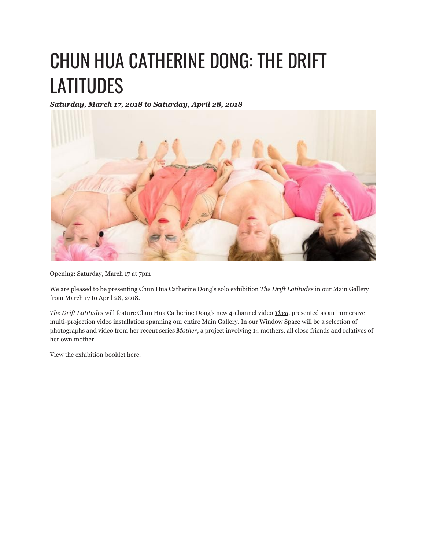## CHUN HUA CATHERINE DONG: THE DRIFT **LATITUDES**

*Saturday, March 17, 2018 to Saturday, April 28, 2018*



Opening: Saturday, March 17 at 7pm

We are pleased to be presenting Chun Hua Catherine Dong's solo exhibition *The Drift Latitudes* in our Main Gallery from March 17 to April 28, 2018.

*The Drift Latitudes* will feature Chun Hua Catherine Dong's new 4-channel video *They*, presented as an immersive multi-projection video installation spanning our entire Main Gallery. In our Window Space will be a selection of photographs and video from her recent series *Mother*, a project involving 14 mothers, all close friends and relatives of her own mother.

View the exhibition booklet here.